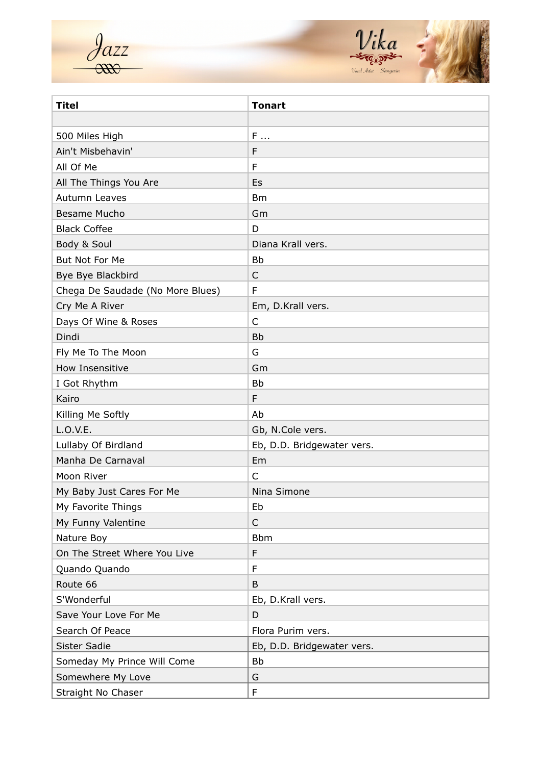$\frac{\partial azz}{\partial x^2}$ 



| <b>Titel</b>                     | <b>Tonart</b>              |
|----------------------------------|----------------------------|
|                                  |                            |
| 500 Miles High                   | F                          |
| Ain't Misbehavin'                | F                          |
| All Of Me                        | F                          |
| All The Things You Are           | Es                         |
| Autumn Leaves                    | <b>Bm</b>                  |
| Besame Mucho                     | Gm                         |
| <b>Black Coffee</b>              | D                          |
| Body & Soul                      | Diana Krall vers.          |
| But Not For Me                   | <b>Bb</b>                  |
| Bye Bye Blackbird                | $\mathsf{C}$               |
| Chega De Saudade (No More Blues) | F                          |
| Cry Me A River                   | Em, D.Krall vers.          |
| Days Of Wine & Roses             | $\mathsf{C}$               |
| Dindi                            | <b>Bb</b>                  |
| Fly Me To The Moon               | G                          |
| How Insensitive                  | Gm                         |
| I Got Rhythm                     | <b>Bb</b>                  |
| Kairo                            | F                          |
| Killing Me Softly                | Ab                         |
| L.O.V.E.                         | Gb, N.Cole vers.           |
| Lullaby Of Birdland              | Eb, D.D. Bridgewater vers. |
| Manha De Carnaval                | Em                         |
| Moon River                       | $\mathsf{C}$               |
| My Baby Just Cares For Me        | Nina Simone                |
| My Favorite Things               | Eb                         |
| My Funny Valentine               | $\mathsf{C}$               |
| Nature Boy                       | <b>Bbm</b>                 |
| On The Street Where You Live     | F                          |
| Quando Quando                    | F                          |
| Route 66                         | B                          |
| S'Wonderful                      | Eb, D.Krall vers.          |
| Save Your Love For Me            | D                          |
| Search Of Peace                  | Flora Purim vers.          |
| Sister Sadie                     | Eb, D.D. Bridgewater vers. |
| Someday My Prince Will Come      | <b>Bb</b>                  |
| Somewhere My Love                | G                          |
| Straight No Chaser               | $\mathsf F$                |